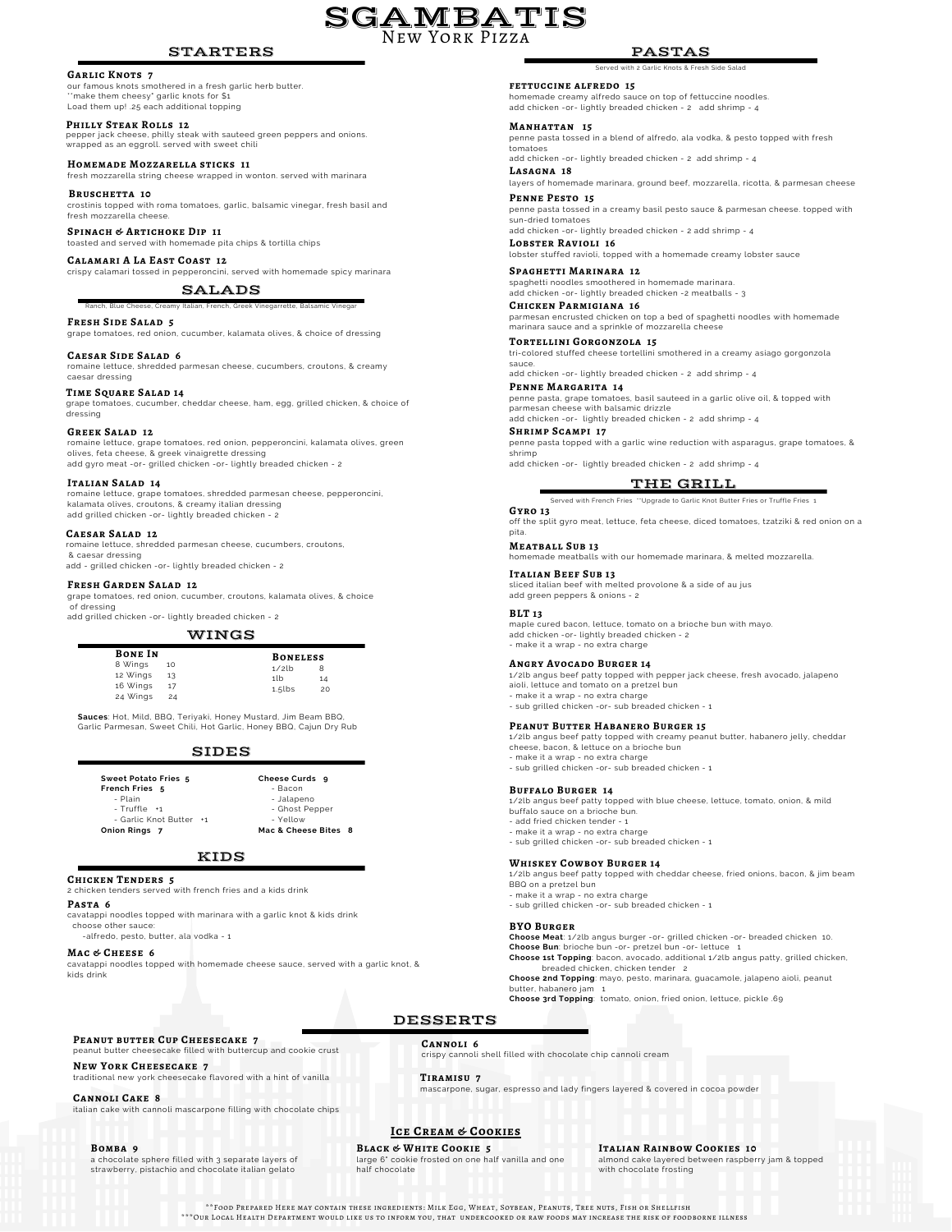# STARTERS

# **Garlic Knots 7**

our famous knots smothered in a fresh garlic herb butter. \*make them cheesy\* garlic knots for \$1 Load them up! .25 each additional topping

 $\mathtt{PHILLY}$   $\mathtt{STEAK}\, \mathtt{ROLLS}\,$  12<br>pepper jack cheese, philly steak with sauteed green peppers and onions.<br>wrapped as an eggroll. served with sweet chili

# **Homemade Mozzarella sticks 11** fresh mozzarella string cheese wrapped in wonton. served with marinara

**BRUSCHETTA** 10

crostinis topped with roma tomatoes, garlic, balsamic vinegar, fresh basil and fresh mozzarella cheese.

**Spinach & Artichoke Dip 11** toasted and served with homemade pita chips & tortilla chips

**Calamari A La East Coast 12** crispy calamari tossed in pepperoncini, served with homemade spicy marinara

Ranch, Blue Cheese, Creamy Italian, French, Greek Vinegarrette, Balsamic Vinegar

SALADS

**Fresh Side Salad 5** grape tomatoes, red onion, cucumber, kalamata olives, & choice of dressing

**Caesar Side Salad 6** romaine lettuce, shredded parmesan cheese, cucumbers, croutons, & creamy caesar dressing

 ${\bf TIME~SQUARE~SALAD~14} \over S/N$  and to the data respect of the state of the chicken, & choice of<br>grape tomatoes, cucumber, cheddar cheese, ham, egg, grilled chicken, & choice of<br>dressing

### **Greek Salad 12**

romaine lettuce, grape tomatoes, red onion, pepperoncini, kalamata olives, green olives, feta cheese, & greek vinaigrette dressing add gyro meat -or- grilled chicken -or- lightly breaded chicken - 2

# **Italian Salad 14**

romaine lettuce, grape tomatoes, shredded parmesan cheese, pepperoncini, kalamata olives, croutons, & creamy italian dressing add grilled chicken -or- lightly breaded chicken - 2

# **Caesar Salad 12**

romaine lettuce, shredded parmesan cheese, cucumbers, croutons, & caesar dressing add - grilled chicken -or- lightly breaded chicken - 2

### **Fresh Garden Salad 12**

grape tomatoes, red onion, cucumber, croutons, kalamata olives, & choice of dressing

add grilled chicken -or- lightly breaded chicken - 2

# WINGS

| <b>BONE IN</b> |    | <b>BONELESS</b> |    |  |  |  |
|----------------|----|-----------------|----|--|--|--|
| 8 Wings        | 10 | $1/2$ lb        | 8  |  |  |  |
| 12 Wings       | 13 | 11 <sub>b</sub> | 14 |  |  |  |
| 16 Wings       | 17 | $1.5$ lbs       | 20 |  |  |  |
| 24 Wings       | 24 |                 |    |  |  |  |

**Sauces**: Hot, Mild, BBQ, Teriyaki, Honey Mustard, Jim Beam BBQ, Garlic Parmesan, Sweet Chili, Hot Garlic, Honey BBQ, Cajun Dry Rub

# SIDES

| Sweet Potato Fries 5    | Cheese Curds <sub>9</sub> |  |  |  |  |
|-------------------------|---------------------------|--|--|--|--|
| <b>French Fries</b> 5   | - Bacon                   |  |  |  |  |
| - Plain                 | - Jalapeno                |  |  |  |  |
| - Truffle +1            | - Ghost Pepper            |  |  |  |  |
| - Garlic Knot Butter +1 | - Yellow                  |  |  |  |  |
| Onion Rings 7           | Mac & Cheese Bites 8      |  |  |  |  |

# KIDS

# **Chicken Tenders 5**

2 chicken tenders served with french fries and a kids drink

**Pasta 6**

cavatappi noodles topped with marinara with a garlic knot & kids drink choose other sauce:

-alfredo, pesto, butter, ala vodka - 1

# **Mac & Cheese 6**

cavatappi noodles topped with homemade cheese sauce, served with a garlic knot, & kids drink

**Peanut butter Cup Cheesecake 7** peanut butter cheesecake filled with buttercup and cookie crust

# **New York Cheesecake 7**

traditional new york cheesecake flavored with a hint of vanilla **Tiramisu 7**

**Cannoli Cake 8** italian cake with cannoli mascarpone filling with chocolate chips

# **Bomba 9**

a chocolate sphere filled with 3 separate layers of strawberry, pistachio and chocolate italian gelato

# **Ice Cream & Cookies**

\*\*Food Prepared Here may contain these ingredients: Milk Egg, Wheat, Soybean, Peanuts, Tree nuts, Fish or Shellfish \*\*\*Our Local Health Department would like us to inform you, that undercooked or raw foods may increase the risk of foodborne illness

**Cannoli 6**

**Black & White Cookie 5** large 6" cookie frosted on one half vanilla and one half chocolate

**Italian Rainbow Cookies 10**

almond cake layered between raspberry jam & topped with chocolate frosting

**fettuccine alfredo 15** Served with 2 Garlic Knots & Fresh Side Salad

homemade creamy alfredo sauce on top of fettuccine noodles. add chicken -or- lightly breaded chicken - 2 add shrimp - 4

# **Manhattan 15**

SGAMBATIS New York Pizza

> penne pasta tossed in a blend of alfredo, ala vodka, & pesto topped with fresh tomatoes

**Lasagna 18** add chicken -or- lightly breaded chicken - 2 add shrimp - 4

**Penne Pesto 15** layers of homemade marinara, ground beef, mozzarella, ricotta, & parmesan cheese

penne pasta tossed in a creamy basil pesto sauce & parmesan cheese. topped with sun-dried tomatoes

**Lobster Ravioli 16** add chicken -or- lightly breaded chicken - 2 add shrimp - 4

lobster stuffed ravioli, topped with a homemade creamy lobster sauce

**Spaghetti Marinara 12** spaghetti noodles smoothered in homemade marinara. add chicken -or- lightly breaded chicken -2 meatballs - 3

**Chicken Parmigiana 16** parmesan encrusted chicken on top a bed of spaghetti noodles with homemade marinara sauce and a sprinkle of mozzarella cheese

**Tortellini Gorgonzola 15** tri-colored stuffed cheese tortellini smothered in a creamy asiago gorgonzola sauce. add chicken -or- lightly breaded chicken - 2 add shrimp - 4

**Penne Margarita 14**

penne pasta, grape tomatoes, basil sauteed in a garlic olive oil, & topped with parmesan cheese with balsamic drizzle add chicken -or- lightly breaded chicken - 2 add shrimp - 4

**Shrimp Scampi 17**

penne pasta topped with a garlic wine reduction with asparagus, grape tomatoes, & shrimp add chicken -or- lightly breaded chicken - 2 add shrimp - 4

THE GRILL **Gyro 13 Served with Fries and Served Truffle Fries \*\*\*** 

off the split gyro meat, lettuce, feta cheese, diced tomatoes, tzatziki & red onion on a pita.

**Meatball Sub 13** homemade meatballs with our homemade marinara, & melted mozzarella.

**Italian Beef Sub 13** sliced italian beef with melted provolone & a side of au jus add green peppers & onions - 2

# **BLT 13**

maple cured bacon, lettuce, tomato on a brioche bun with mayo. add chicken -or- lightly breaded chicken - 2 - make it a wrap - no extra charge

### **Angry Avocado Burger 14**

1/2lb angus beef patty topped with pepper jack cheese, fresh avocado, jalapeno aioli, lettuce and tomato on a pretzel bun - make it a wrap - no extra charge

# - sub grilled chicken -or- sub breaded chicken - 1

# **Peanut Butter Habanero Burger 15**

1/2lb angus beef patty topped with creamy peanut butter, habanero jelly, cheddar cheese, bacon, & lettuce on a brioche bun

- make it a wrap no extra charge
- sub grilled chicken -or- sub breaded chicken 1

### **Buffalo Burger 14**

1/2lb angus beef patty topped with blue cheese, lettuce, tomato, onion, & mild buffalo sauce on a brioche bun. - add fried chicken tender - 1

- make it a wrap - no extra charge

- sub grilled chicken -or- sub breaded chicken - 1

# **Whiskey Cowboy Burger 14**

1/2lb angus beef patty topped with cheddar cheese, fried onions, bacon, & jim beam BBQ on a pretzel bun

- make it a wrap - no extra charge - sub grilled chicken -or- sub breaded chicken - 1

**BYO Burger Choose Meat**: 1/2lb angus burger -or- grilled chicken -or- breaded chicken 10. **Choose Bun**: brioche bun -or- pretzel bun -or- lettuce 1 **Choose 1st Topping**: bacon, avocado, additional 1/2lb angus patty, grilled chicken,

breaded chicken, chicken tender 2 **Choose 2nd Topping**: mayo, pesto, marinara, guacamole, jalapeno aioli, peanut

butter, habanero jam 1 **Choose 3rd Topping**: tomato, onion, fried onion, lettuce, pickle .69

DESSERTS

crispy cannoli shell filled with chocolate chip cannoli cream

mascarpone, sugar, espresso and lady fingers layered & covered in cocoa powder

# PASTAS